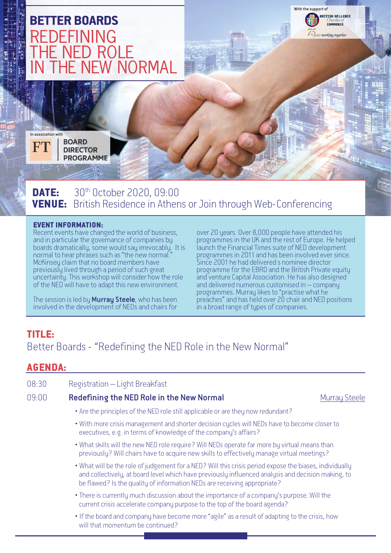

**DATE:** 30<sup>th</sup> October 2020, 09:00 VENUE: British Residence in Athens or Join through Web-Conferencing

#### EVENT INFORMATION:

Recent events have changed the world of business, and in particular the governance of companies by boards dramatically, some would say irrevocably. It is normal to hear phrases such as "the new normal." McKinsey claim that no board members have previously lived through a period of such great uncertainty. This workshop will consider how the role of the NED will have to adapt this new environment.

The session is led by **Murray Steele**, who has been involved in the development of NEDs and chairs for

over 20 years. Over 8,000 people have attended his programmes in the UK and the rest of Europe. He helped launch the Financial Times suite of NED development programmes in 2011 and has been involved ever since. Since 2001 he had delivered s nominee director programme for the EBRD and the British Private equity and venture Capital Association. He has also designed and delivered numerous customised in – company programmes. Murray likes to "practise what he preaches" and has held over 20 chair and NED positions in a broad range of types of companies.

# TITLE:

Better Boards - "Redefining the NED Role in the New Normal"

# AGENDA:

| 08:30 | Registration - Light Breakfast                                                                                                                                                                                                                                                            |                      |
|-------|-------------------------------------------------------------------------------------------------------------------------------------------------------------------------------------------------------------------------------------------------------------------------------------------|----------------------|
| 09:00 | Redefining the NED Role in the New Normal                                                                                                                                                                                                                                                 | <b>Murray Steele</b> |
|       | • Are the principles of the NED role still applicable or are they now redundant?                                                                                                                                                                                                          |                      |
|       | • With more crisis management and shorter decision cycles will NEDs have to become closer to<br>executives, e.g. in terms of knowledge of the company's affairs?                                                                                                                          |                      |
|       | . What skills will the new NED role require? Will NEDs operate far more by virtual means than<br>previously? Will chairs have to acquire new skills to effectively manage virtual meetings?                                                                                               |                      |
|       | . What will be the role of judgement for a NED? Will this crisis period expose the biases, individually<br>and collectively, at board level which have previously influenced analysis and decision making, to<br>be flawed? Is the quality of information NEDs are receiving appropriate? |                      |
|       | • There is currently much discussion about the importance of a company's purpose. Will the<br>current crisis accelerate company purpose to the top of the board agenda?                                                                                                                   |                      |
|       | • If the board and company have become more "agile" as a result of adapting to the crisis, how<br>will that momentum be continued?                                                                                                                                                        |                      |
|       |                                                                                                                                                                                                                                                                                           |                      |